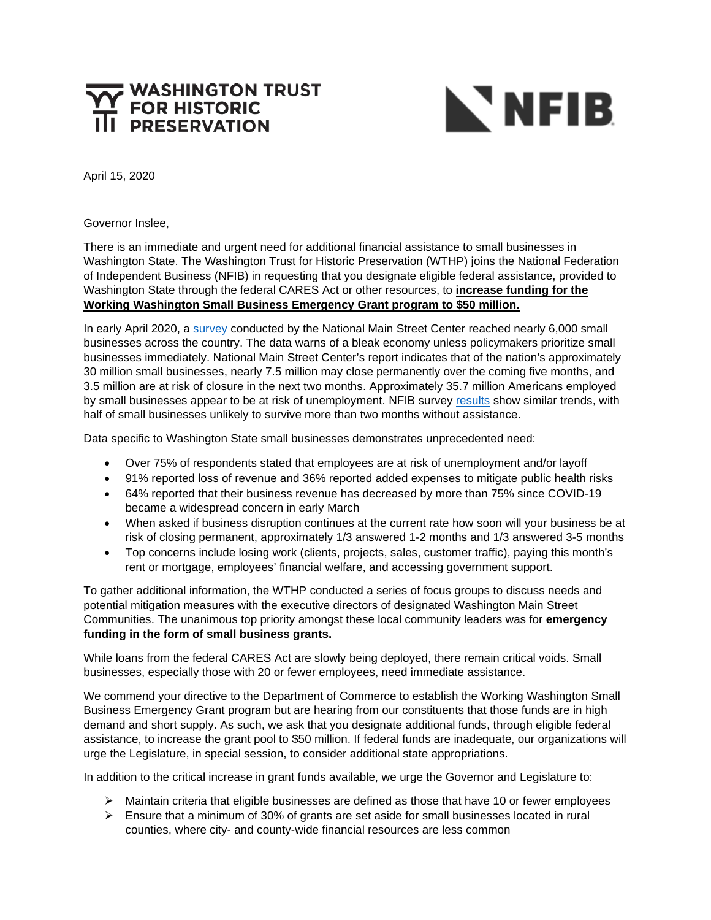## **WASHINGTON TRUST<br>FOR HISTORIC**



April 15, 2020

Governor Inslee,

There is an immediate and urgent need for additional financial assistance to small businesses in Washington State. The Washington Trust for Historic Preservation (WTHP) joins the National Federation of Independent Business (NFIB) in requesting that you designate eligible federal assistance, provided to Washington State through the federal CARES Act or other resources, to **increase funding for the Working Washington Small Business Emergency Grant program to \$50 million.**

In early April 2020, a [survey](https://www.mainstreet.org/blogs/national-main-street-center/2020/04/09/new-report-the-impact-of-covid-19-on-small-busines?CommunityKey=c40a84d1-46b2-465c-985c-c08ed69081ab&tab=) conducted by the National Main Street Center reached nearly 6,000 small businesses across the country. The data warns of a bleak economy unless policymakers prioritize small businesses immediately. National Main Street Center's report indicates that of the nation's approximately 30 million small businesses, nearly 7.5 million may close permanently over the coming five months, and 3.5 million are at risk of closure in the next two months. Approximately 35.7 million Americans employed by small businesses appear to be at risk of unemployment. NFIB survey [results](https://www.nfib.com/content/press-release/economy/covid-19-impact-on-small-business-part-3/) show similar trends, with half of small businesses unlikely to survive more than two months without assistance.

Data specific to Washington State small businesses demonstrates unprecedented need:

- Over 75% of respondents stated that employees are at risk of unemployment and/or layoff
- 91% reported loss of revenue and 36% reported added expenses to mitigate public health risks
- 64% reported that their business revenue has decreased by more than 75% since COVID-19 became a widespread concern in early March
- When asked if business disruption continues at the current rate how soon will your business be at risk of closing permanent, approximately 1/3 answered 1-2 months and 1/3 answered 3-5 months
- Top concerns include losing work (clients, projects, sales, customer traffic), paying this month's rent or mortgage, employees' financial welfare, and accessing government support.

To gather additional information, the WTHP conducted a series of focus groups to discuss needs and potential mitigation measures with the executive directors of designated Washington Main Street Communities. The unanimous top priority amongst these local community leaders was for **emergency funding in the form of small business grants.**

While loans from the federal CARES Act are slowly being deployed, there remain critical voids. Small businesses, especially those with 20 or fewer employees, need immediate assistance.

We commend your directive to the Department of Commerce to establish the Working Washington Small Business Emergency Grant program but are hearing from our constituents that those funds are in high demand and short supply. As such, we ask that you designate additional funds, through eligible federal assistance, to increase the grant pool to \$50 million. If federal funds are inadequate, our organizations will urge the Legislature, in special session, to consider additional state appropriations.

In addition to the critical increase in grant funds available, we urge the Governor and Legislature to:

- $\triangleright$  Maintain criteria that eligible businesses are defined as those that have 10 or fewer employees
- $\triangleright$  Ensure that a minimum of 30% of grants are set aside for small businesses located in rural counties, where city- and county-wide financial resources are less common